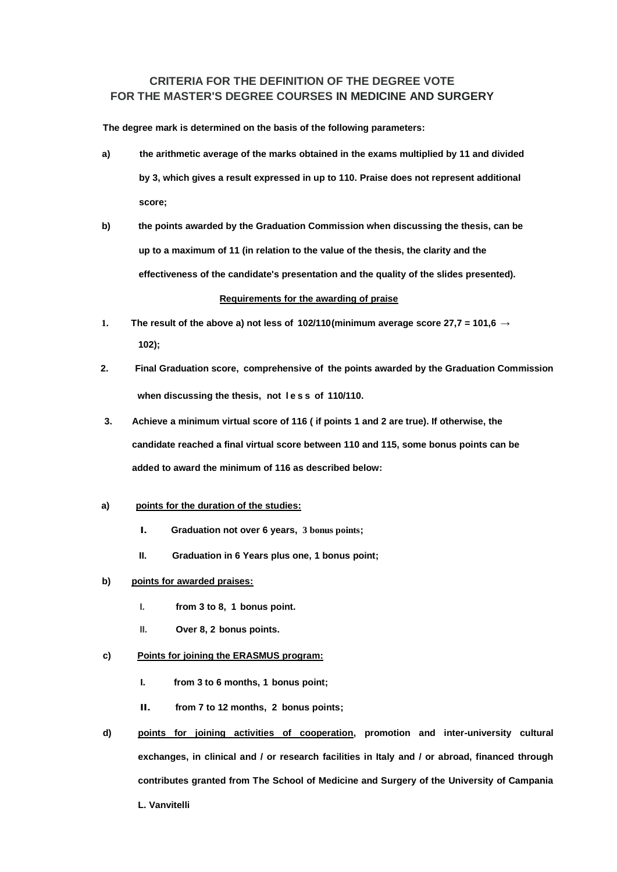# **CRITERIA FOR THE DEFINITION OF THE DEGREE VOTE FOR THE MASTER'S DEGREE COURSES IN MEDICINE AND SURGERY**

**The degree mark is determined on the basis of the following parameters:**

- **a) the arithmetic average of the marks obtained in the exams multiplied by 11 and divided by 3, which gives a result expressed in up to 110. Praise does not represent additional score;**
- **b) the points awarded by the Graduation Commission when discussing the thesis, can be up to a maximum of 11 (in relation to the value of the thesis, the clarity and the effectiveness of the candidate's presentation and the quality of the slides presented).**

## **Requirements for the awarding of praise**

- **1.** The result of the above a) not less of  $102/110$ (minimum average score 27,7 = 101,6  $\rightarrow$ **102);**
- **2. Final Graduation score, comprehensive of the points awarded by the Graduation Commission when discussing the thesis, not l e s s of 110/110.**
- **3. Achieve a minimum virtual score of 116 ( if points 1 and 2 are true). If otherwise, the candidate reached a final virtual score between 110 and 115, some bonus points can be added to award the minimum of 116 as described below:**

#### **a) points for the duration of the studies:**

- **I. Graduation not over 6 years, 3 bonus points;**
- **II. Graduation in 6 Years plus one, 1 bonus point;**

## **b) points for awarded praises:**

- **I. from 3 to 8, 1 bonus point.**
- **II. Over 8, 2 bonus points.**

# **c) Points for joining the ERASMUS program:**

- **I. from 3 to 6 months, 1 bonus point;**
- **II. from 7 to 12 months, 2 bonus points;**
- **d) points for joining activities of cooperation, promotion and inter-university cultural exchanges, in clinical and / or research facilities in Italy and / or abroad, financed through contributes granted from The School of Medicine and Surgery of the University of Campania L. Vanvitelli**